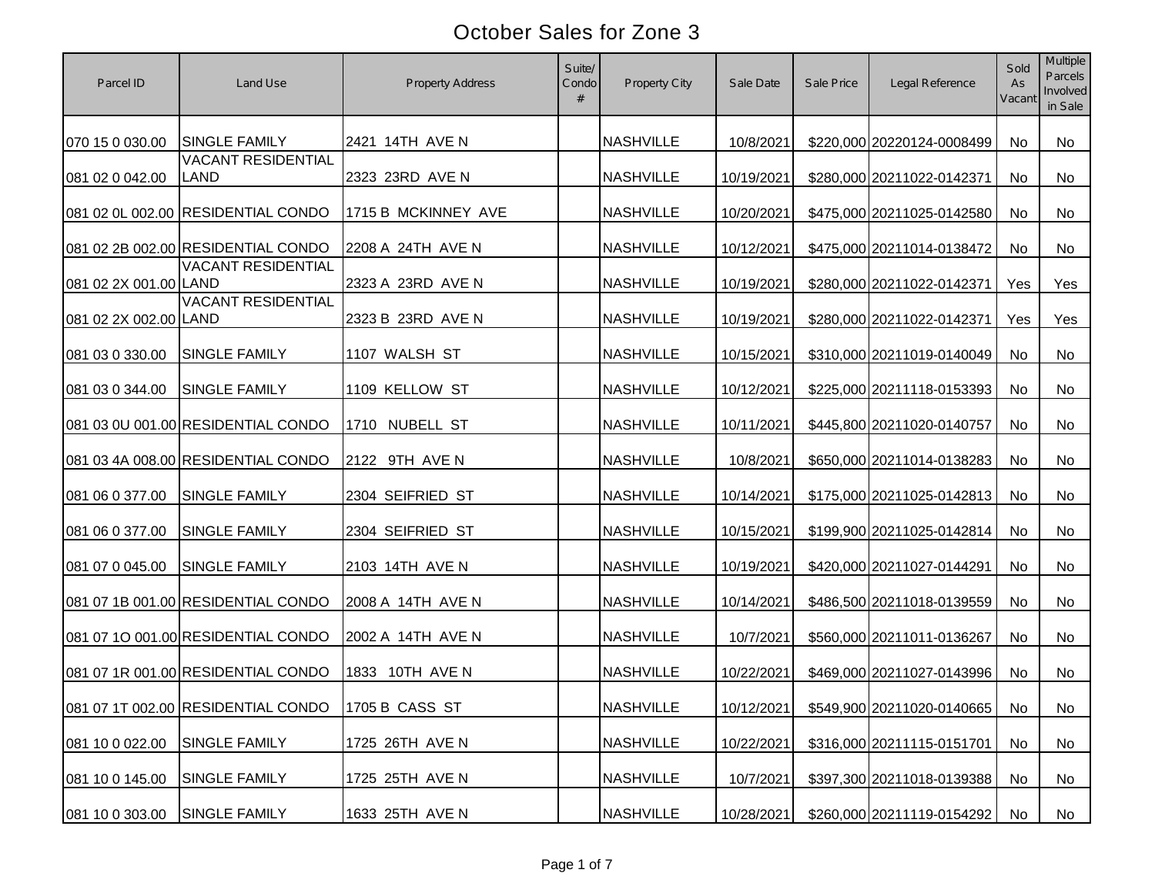| Parcel ID             | Land Use                                          | <b>Property Address</b> | Suite/<br>Condo<br># | Property City    | Sale Date  | Sale Price | Legal Reference               | Sold<br>As<br>Vacant | Multiple<br>Parcels<br>Involved<br>in Sale |
|-----------------------|---------------------------------------------------|-------------------------|----------------------|------------------|------------|------------|-------------------------------|----------------------|--------------------------------------------|
| 070 15 0 030.00       | <b>SINGLE FAMILY</b>                              | 2421 14TH AVE N         |                      | <b>NASHVILLE</b> | 10/8/2021  |            | \$220,000 20220124-0008499    | No                   | No                                         |
| 081 02 0 042.00       | <b>VACANT RESIDENTIAL</b><br>LAND                 | 2323 23RD AVE N         |                      | <b>NASHVILLE</b> | 10/19/2021 |            | \$280,000 20211022-0142371    | No                   | <b>No</b>                                  |
|                       | 081 02 0L 002.00 RESIDENTIAL CONDO                | 1715 B MCKINNEY AVE     |                      | <b>NASHVILLE</b> | 10/20/2021 |            | \$475,000 20211025-0142580    | No                   | No                                         |
|                       | 081 02 2B 002.00 RESIDENTIAL CONDO                | 2208 A 24TH AVE N       |                      | <b>NASHVILLE</b> | 10/12/2021 |            | \$475,000 20211014-0138472    | No                   | No                                         |
| 081 02 2X 001.00 LAND | <b>VACANT RESIDENTIAL</b>                         | 2323 A 23RD AVE N       |                      | <b>NASHVILLE</b> | 10/19/2021 |            | \$280,000 20211022-0142371    | Yes                  | Yes                                        |
| 081 02 2X 002.00 LAND | <b>VACANT RESIDENTIAL</b>                         | 2323 B 23RD AVE N       |                      | <b>NASHVILLE</b> | 10/19/2021 |            | \$280,000 20211022-0142371    | Yes                  | Yes                                        |
| 081 03 0 330.00       | <b>SINGLE FAMILY</b>                              | 1107 WALSH ST           |                      | <b>NASHVILLE</b> | 10/15/2021 |            | \$310,000 20211019-0140049    | No                   | No                                         |
| 081 03 0 344.00       | <b>SINGLE FAMILY</b>                              | 1109 KELLOW ST          |                      | <b>NASHVILLE</b> | 10/12/2021 |            | \$225,000 20211118-0153393    | No                   | No                                         |
|                       | 081 03 0U 001.00 RESIDENTIAL CONDO                | 1710 NUBELL ST          |                      | <b>NASHVILLE</b> | 10/11/2021 |            | \$445,800 20211020-0140757    | No                   | No                                         |
|                       | 081 03 4A 008.00 RESIDENTIAL CONDO                | 2122 9TH AVE N          |                      | <b>NASHVILLE</b> | 10/8/2021  |            | \$650,000 20211014-0138283    | No                   | No                                         |
| 081 06 0 377.00       | <b>SINGLE FAMILY</b>                              | 2304 SEIFRIED ST        |                      | <b>NASHVILLE</b> | 10/14/2021 |            | \$175,000 20211025-0142813    | No                   | No                                         |
| 081 06 0 377.00       | SINGLE FAMILY                                     | 2304 SEIFRIED ST        |                      | <b>NASHVILLE</b> | 10/15/2021 |            | \$199,900 20211025-0142814    | No                   | No                                         |
| 081 07 0 045.00       | <b>SINGLE FAMILY</b>                              | 2103 14TH AVE N         |                      | <b>NASHVILLE</b> | 10/19/2021 |            | \$420,000 20211027-0144291    | No                   | No                                         |
|                       | 081 07 1B 001.00 RESIDENTIAL CONDO                | 2008 A 14TH AVE N       |                      | <b>NASHVILLE</b> | 10/14/2021 |            | \$486,500 20211018-0139559    | No                   | No                                         |
|                       | 081 07 1O 001.00 RESIDENTIAL CONDO                | 2002 A 14TH AVE N       |                      | <b>NASHVILLE</b> | 10/7/2021  |            | \$560,000 20211011-0136267    | <b>No</b>            | No                                         |
|                       | 081 07 1R 001.00 RESIDENTIAL CONDO                | 1833 10TH AVE N         |                      | <b>NASHVILLE</b> | 10/22/2021 |            | \$469,000 20211027-0143996    | <b>No</b>            | No                                         |
|                       | 081 07 1T 002.00 RESIDENTIAL CONDO 1705 B CASS ST |                         |                      | <b>NASHVILLE</b> | 10/12/2021 |            | \$549,900 20211020-0140665 No |                      | No                                         |
| 081 10 0 022.00       | SINGLE FAMILY                                     | 1725 26TH AVE N         |                      | <b>NASHVILLE</b> | 10/22/2021 |            | \$316,000 20211115-0151701    | No                   | No                                         |
| 081 10 0 145.00       | <b>SINGLE FAMILY</b>                              | 1725 25TH AVE N         |                      | <b>NASHVILLE</b> | 10/7/2021  |            | \$397,300 20211018-0139388    | No                   | No                                         |
| 081 10 0 303.00       | <b>SINGLE FAMILY</b>                              | 1633 25TH AVE N         |                      | <b>NASHVILLE</b> | 10/28/2021 |            | \$260,000 20211119-0154292    | No                   | No                                         |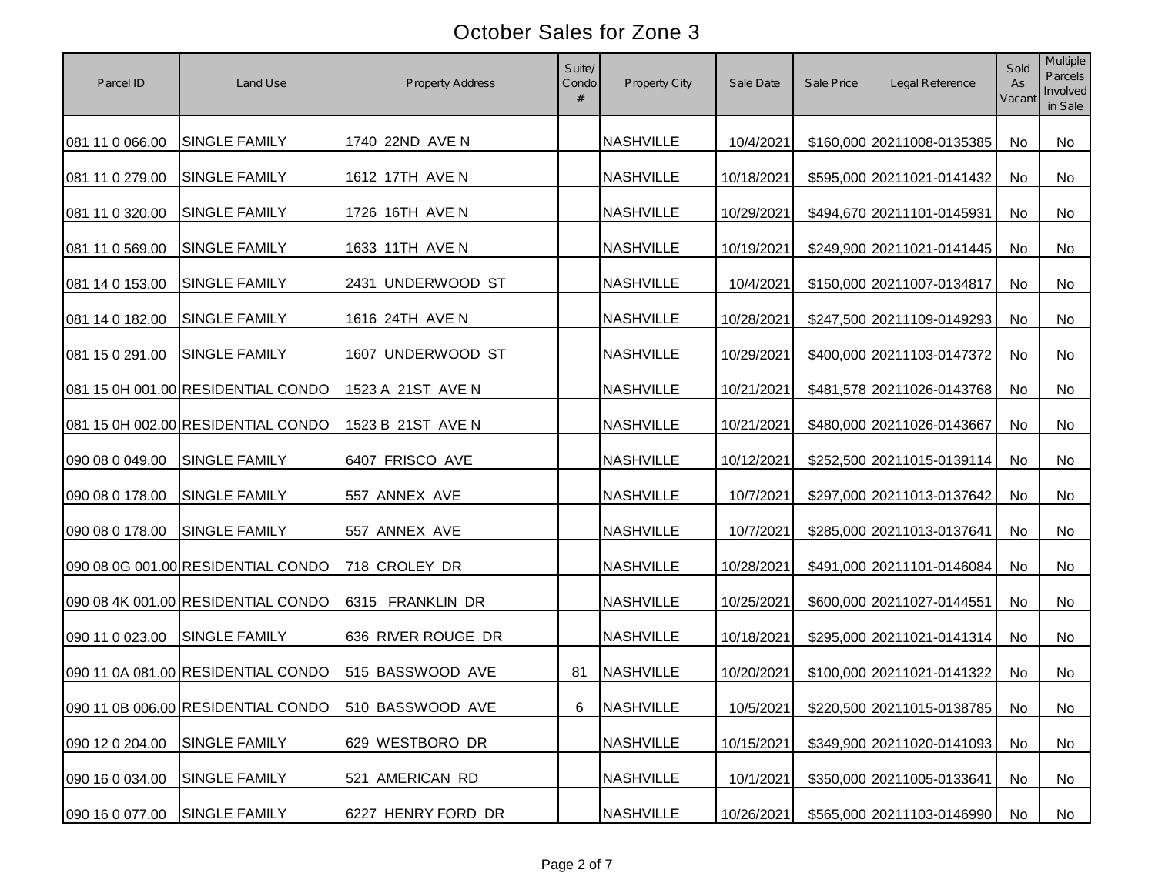| Parcel ID       | Land Use                                            | <b>Property Address</b> | Suite/<br>Condo | Property City    | Sale Date  | Sale Price | Legal Reference               | Sold<br>As<br>Vacant | Multiple<br><b>Parcels</b><br>Involved<br>in Sale |
|-----------------|-----------------------------------------------------|-------------------------|-----------------|------------------|------------|------------|-------------------------------|----------------------|---------------------------------------------------|
| 081 11 0 066.00 | <b>SINGLE FAMILY</b>                                | 1740 22ND AVE N         |                 | <b>NASHVILLE</b> | 10/4/2021  |            | \$160,000 20211008-0135385    | No                   | No                                                |
| 081 11 0 279.00 | <b>SINGLE FAMILY</b>                                | 1612 17TH AVE N         |                 | <b>NASHVILLE</b> | 10/18/2021 |            | \$595,000 20211021-0141432    | No                   | No                                                |
| 081 11 0 320.00 | <b>SINGLE FAMILY</b>                                | 1726 16TH AVE N         |                 | <b>NASHVILLE</b> | 10/29/2021 |            | \$494,670 20211101-0145931    | No                   | No                                                |
| 081 11 0 569.00 | SINGLE FAMILY                                       | 1633 11TH AVE N         |                 | <b>NASHVILLE</b> | 10/19/2021 |            | \$249,900 20211021-0141445    | No                   | No                                                |
| 081 14 0 153.00 | <b>SINGLE FAMILY</b>                                | 2431 UNDERWOOD ST       |                 | <b>NASHVILLE</b> | 10/4/2021  |            | \$150,000 20211007-0134817    | No                   | No                                                |
| 081 14 0 182.00 | <b>SINGLE FAMILY</b>                                | 1616 24TH AVE N         |                 | <b>NASHVILLE</b> | 10/28/2021 |            | \$247,500 20211109-0149293    | No                   | No                                                |
| 081 15 0 291.00 | <b>SINGLE FAMILY</b>                                | 1607 UNDERWOOD ST       |                 | <b>NASHVILLE</b> | 10/29/2021 |            | \$400,000 20211103-0147372    | No                   | No                                                |
|                 | 081 15 0H 001.00 RESIDENTIAL CONDO                  | 1523 A 21ST AVE N       |                 | <b>NASHVILLE</b> | 10/21/2021 |            | \$481,578 20211026-0143768    | No                   | No                                                |
|                 | 081 15 0H 002.00 RESIDENTIAL CONDO                  | 1523 B 21ST AVE N       |                 | <b>NASHVILLE</b> | 10/21/2021 |            | \$480,000 20211026-0143667    | No                   | No                                                |
| 090 08 0 049.00 | SINGLE FAMILY                                       | 6407 FRISCO AVE         |                 | <b>NASHVILLE</b> | 10/12/2021 |            | \$252,500 20211015-0139114    | No                   | No                                                |
| 090 08 0 178.00 | SINGLE FAMILY                                       | 557 ANNEX AVE           |                 | <b>NASHVILLE</b> | 10/7/2021  |            | \$297,000 20211013-0137642    | No                   | No                                                |
| 090 08 0 178.00 | <b>SINGLE FAMILY</b>                                | 557 ANNEX AVE           |                 | <b>NASHVILLE</b> | 10/7/2021  |            | \$285,000 20211013-0137641    | No                   | No                                                |
|                 | 090 08 0G 001.00 RESIDENTIAL CONDO                  | 718 CROLEY DR           |                 | <b>NASHVILLE</b> | 10/28/2021 |            | \$491,000 20211101-0146084    | No                   | No                                                |
|                 | 090 08 4K 001.00 RESIDENTIAL CONDO                  | 6315 FRANKLIN DR        |                 | <b>NASHVILLE</b> | 10/25/2021 |            | \$600,000 20211027-0144551    | <b>No</b>            | No                                                |
| 090 11 0 023.00 | <b>SINGLE FAMILY</b>                                | 636 RIVER ROUGE DR      |                 | <b>NASHVILLE</b> | 10/18/2021 |            | \$295,000 20211021-0141314    | No                   | No                                                |
|                 | 090 11 0A 081.00 RESIDENTIAL CONDO                  | 515 BASSWOOD AVE        | 81              | <b>NASHVILLE</b> | 10/20/2021 |            | \$100,000 20211021-0141322    | No                   | No                                                |
|                 | 090 11 0B 006.00 RESIDENTIAL CONDO 510 BASSWOOD AVE |                         | 6               | <b>NASHVILLE</b> | 10/5/2021  |            | \$220,500 20211015-0138785 No |                      | No                                                |
| 090 12 0 204.00 | <b>SINGLE FAMILY</b>                                | 629 WESTBORO DR         |                 | <b>NASHVILLE</b> | 10/15/2021 |            | \$349,900 20211020-0141093    | No                   | No                                                |
| 090 16 0 034.00 | <b>SINGLE FAMILY</b>                                | 521 AMERICAN RD         |                 | <b>NASHVILLE</b> | 10/1/2021  |            | \$350,000 20211005-0133641    | No                   | No                                                |
| 090 16 0 077.00 | <b>SINGLE FAMILY</b>                                | 6227 HENRY FORD DR      |                 | <b>NASHVILLE</b> | 10/26/2021 |            | \$565,000 20211103-0146990    | No                   | No                                                |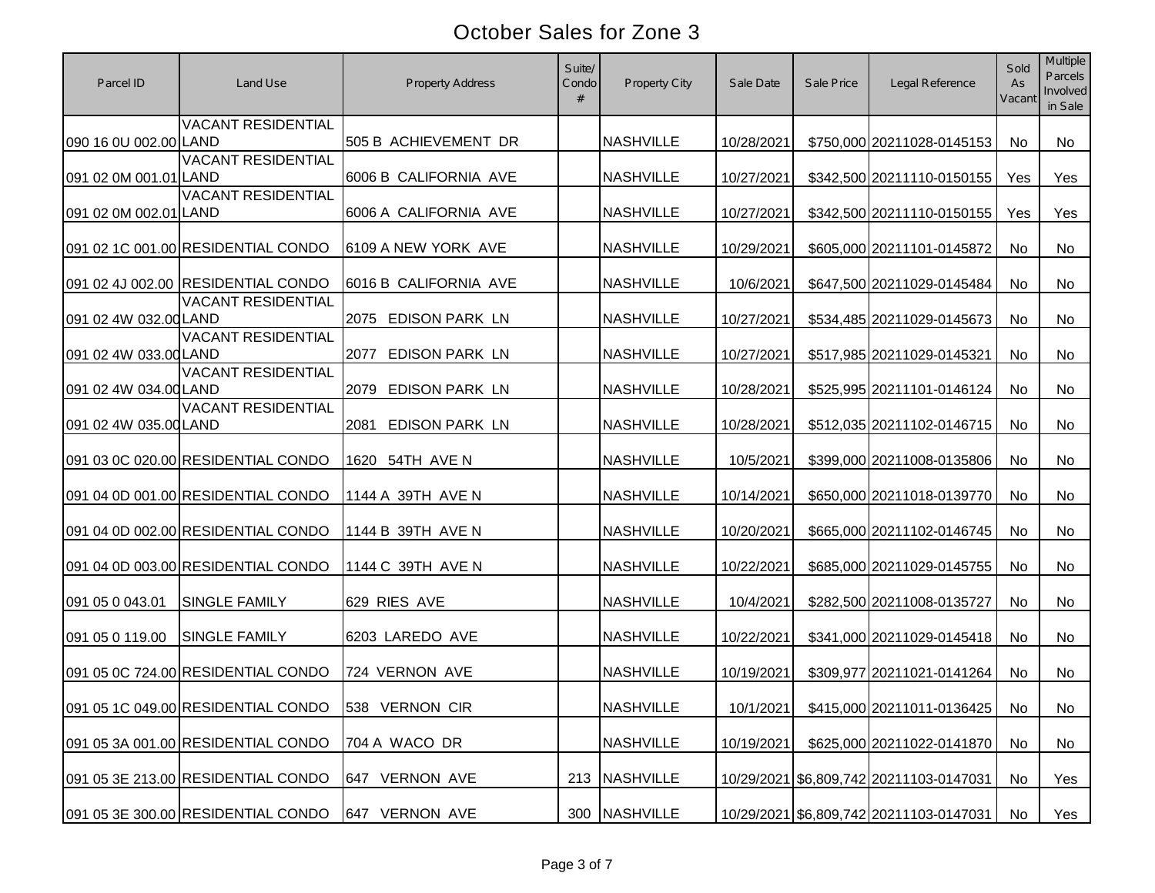| Parcel ID             | Land Use                                          | <b>Property Address</b>       | Suite/<br>Condo<br># | Property City    | Sale Date  | Sale Price | Legal Reference                         | Sold<br>As<br>Vacant | <b>Multiple</b><br>Parcels<br>Involved<br>in Sale |
|-----------------------|---------------------------------------------------|-------------------------------|----------------------|------------------|------------|------------|-----------------------------------------|----------------------|---------------------------------------------------|
| 090 16 0U 002.00 LAND | <b>VACANT RESIDENTIAL</b>                         | 505 B ACHIEVEMENT DR          |                      | <b>NASHVILLE</b> | 10/28/2021 |            | \$750,000 20211028-0145153              | <b>No</b>            | No                                                |
| 091 02 0M 001.01 LAND | <b>VACANT RESIDENTIAL</b>                         | 6006 B CALIFORNIA AVE         |                      | <b>NASHVILLE</b> | 10/27/2021 |            | \$342,500 20211110-0150155              | Yes                  | Yes                                               |
| 091 02 0M 002.01 LAND | <b>VACANT RESIDENTIAL</b>                         | 6006 A CALIFORNIA AVE         |                      | <b>NASHVILLE</b> | 10/27/2021 |            | \$342,500 20211110-0150155              | Yes                  | Yes                                               |
|                       | 091 02 1C 001.00 RESIDENTIAL CONDO                | 6109 A NEW YORK AVE           |                      | <b>NASHVILLE</b> | 10/29/2021 |            | \$605,000 20211101-0145872              | No                   | No                                                |
|                       | 091 02 4J 002.00 RESIDENTIAL CONDO                | 6016 B CALIFORNIA AVE         |                      | <b>NASHVILLE</b> | 10/6/2021  |            | \$647,500 20211029-0145484              | No                   | No                                                |
| 091 02 4W 032.00 LAND | <b>VACANT RESIDENTIAL</b>                         | 2075 EDISON PARK LN           |                      | <b>NASHVILLE</b> | 10/27/2021 |            | \$534,485 20211029-0145673              | No                   | No                                                |
| 091 02 4W 033.00 LAND | <b>VACANT RESIDENTIAL</b>                         | EDISON PARK LN<br>2077        |                      | <b>NASHVILLE</b> | 10/27/2021 |            | \$517,985 20211029-0145321              | No                   | No                                                |
| 091 02 4W 034.00 LAND | <b>VACANT RESIDENTIAL</b>                         | 2079 EDISON PARK LN           |                      | <b>NASHVILLE</b> | 10/28/2021 |            | \$525,995 20211101-0146124              | No                   | No                                                |
| 091 02 4W 035.00 LAND | <b>VACANT RESIDENTIAL</b>                         | <b>EDISON PARK LN</b><br>2081 |                      | <b>NASHVILLE</b> | 10/28/2021 |            | \$512,035 20211102-0146715              | No                   | No                                                |
|                       | 091 03 0C 020.00 RESIDENTIAL CONDO                | 1620 54TH AVE N               |                      | <b>NASHVILLE</b> | 10/5/2021  |            | \$399,000 20211008-0135806              | No                   | No                                                |
|                       | 091 04 0D 001.00 RESIDENTIAL CONDO                | 1144 A 39TH AVE N             |                      | <b>NASHVILLE</b> | 10/14/2021 |            | \$650,000 20211018-0139770              | No                   | No                                                |
|                       | 091 04 0D 002.00 RESIDENTIAL CONDO                | 1144 B 39TH AVE N             |                      | <b>NASHVILLE</b> | 10/20/2021 |            | \$665,000 20211102-0146745              | No                   | No                                                |
|                       | 091 04 0D 003.00 RESIDENTIAL CONDO                | 1144 C 39TH AVE N             |                      | <b>NASHVILLE</b> | 10/22/2021 |            | \$685,000 20211029-0145755              | No                   | No                                                |
| 091 05 0 043.01       | <b>SINGLE FAMILY</b>                              | 629 RIES AVE                  |                      | <b>NASHVILLE</b> | 10/4/2021  |            | \$282,500 20211008-0135727              | No                   | No                                                |
| 091 05 0 119.00       | <b>SINGLE FAMILY</b>                              | 6203 LAREDO AVE               |                      | <b>NASHVILLE</b> | 10/22/2021 |            | \$341,000 20211029-0145418              | <b>No</b>            | <b>No</b>                                         |
|                       | 091 05 0C 724.00 RESIDENTIAL CONDO                | 724 VERNON AVE                |                      | <b>NASHVILLE</b> | 10/19/2021 |            | \$309,977 20211021-0141264              | <b>No</b>            | No                                                |
|                       | 091 05 1C 049.00 RESIDENTIAL CONDO 538 VERNON CIR |                               |                      | <b>NASHVILLE</b> | 10/1/2021  |            | \$415,000 20211011-0136425   No         |                      | No                                                |
|                       | 091 05 3A 001.00 RESIDENTIAL CONDO                | 704 A WACO DR                 |                      | <b>NASHVILLE</b> | 10/19/2021 |            | \$625,000 20211022-0141870              | No                   | No                                                |
|                       | 091 05 3E 213.00 RESIDENTIAL CONDO                | 647 VERNON AVE                | 213                  | NASHVILLE        |            |            | 10/29/2021 \$6,809,742 20211103-0147031 | No                   | Yes                                               |
|                       | 091 05 3E 300.00 RESIDENTIAL CONDO                | 647 VERNON AVE                | 300                  | NASHVILLE        |            |            | 10/29/2021 \$6,809,742 20211103-0147031 | No                   | $Y_{es}$                                          |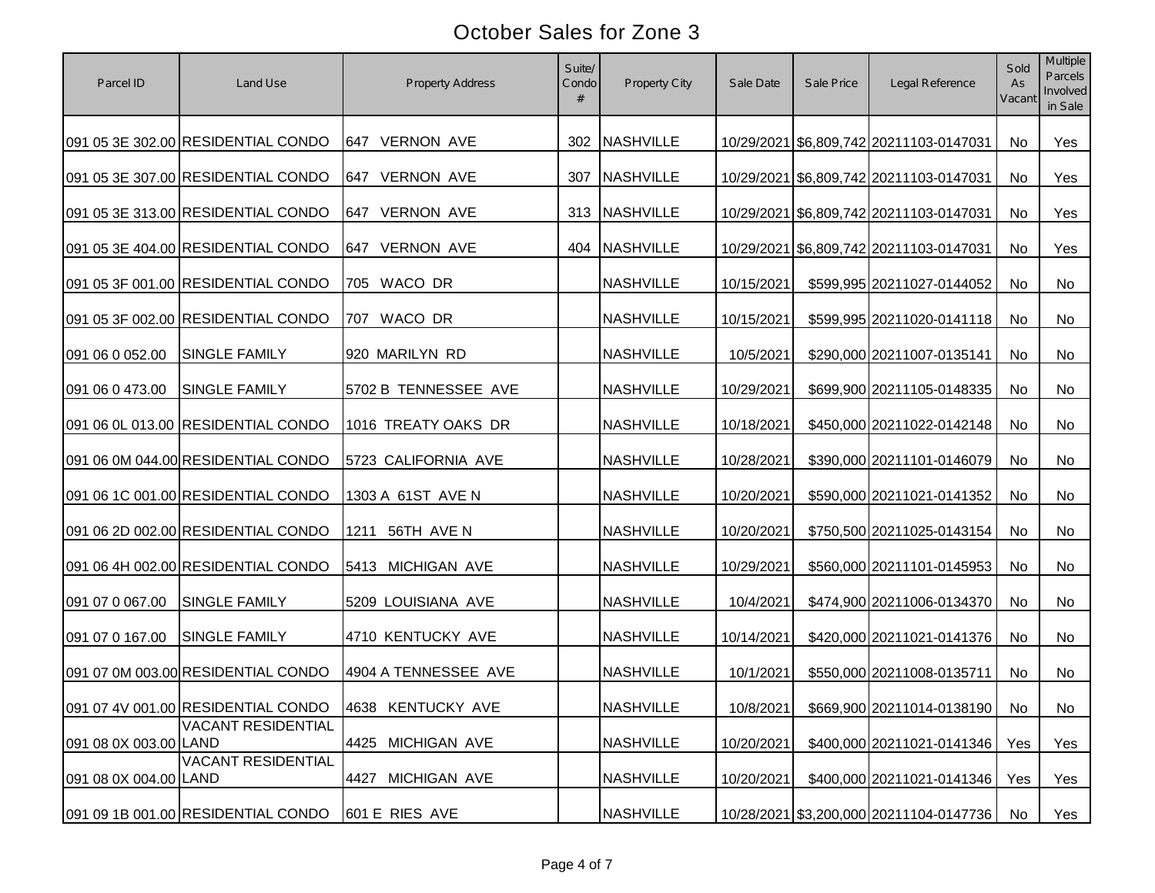| Parcel ID             | Land Use                                             | <b>Property Address</b>     | Suite/<br>Condo<br># | Property City    | Sale Date  | Sale Price | Legal Reference                         | Sold<br>As<br>Vacant | Multiple<br><b>Parcels</b><br>Involved<br>in Sale |
|-----------------------|------------------------------------------------------|-----------------------------|----------------------|------------------|------------|------------|-----------------------------------------|----------------------|---------------------------------------------------|
|                       | 091 05 3E 302.00 RESIDENTIAL CONDO                   | 647 VERNON AVE              |                      | 302 NASHVILLE    |            |            | 10/29/2021 \$6,809,742 20211103-0147031 | No                   | Yes                                               |
|                       | 091 05 3E 307.00 RESIDENTIAL CONDO                   | 647 VERNON AVE              | 307                  | <b>NASHVILLE</b> |            |            | 10/29/2021 \$6,809,742 20211103-0147031 | No                   | Yes                                               |
|                       | 091 05 3E 313.00 RESIDENTIAL CONDO                   | 647 VERNON AVE              | 313                  | NASHVILLE        |            |            | 10/29/2021 \$6,809,742 20211103-0147031 | No                   | Yes                                               |
|                       | 091 05 3E 404.00 RESIDENTIAL CONDO                   | <b>VERNON AVE</b><br>647    |                      | 404 NASHVILLE    |            |            | 10/29/2021 \$6,809,742 20211103-0147031 | No                   | Yes                                               |
|                       | 091 05 3F 001.00 RESIDENTIAL CONDO                   | 705 WACO DR                 |                      | <b>NASHVILLE</b> | 10/15/2021 |            | \$599,995 20211027-0144052              | No                   | No                                                |
|                       | 091 05 3F 002.00 RESIDENTIAL CONDO                   | 707 WACO DR                 |                      | <b>NASHVILLE</b> | 10/15/2021 |            | \$599,995 20211020-0141118              | No                   | No                                                |
| 091 06 0 052.00       | <b>SINGLE FAMILY</b>                                 | 920 MARILYN RD              |                      | <b>NASHVILLE</b> | 10/5/2021  |            | \$290,000 20211007-0135141              | No                   | No                                                |
| 091 06 0 473.00       | <b>SINGLE FAMILY</b>                                 | 5702 B TENNESSEE AVE        |                      | <b>NASHVILLE</b> | 10/29/2021 |            | \$699,900 20211105-0148335              | No                   | No                                                |
|                       | 091 06 0L 013.00 RESIDENTIAL CONDO                   | 1016 TREATY OAKS DR         |                      | <b>NASHVILLE</b> | 10/18/2021 |            | \$450,000 20211022-0142148              | No                   | No                                                |
|                       | 091 06 0M 044.00 RESIDENTIAL CONDO                   | 5723 CALIFORNIA AVE         |                      | <b>NASHVILLE</b> | 10/28/2021 |            | \$390,000 20211101-0146079              | No                   | No                                                |
|                       | 091 06 1C 001.00 RESIDENTIAL CONDO                   | 1303 A 61ST AVE N           |                      | <b>NASHVILLE</b> | 10/20/2021 |            | \$590,000 20211021-0141352              | No                   | No                                                |
|                       | 091 06 2D 002.00 RESIDENTIAL CONDO                   | 1211 56TH AVE N             |                      | <b>NASHVILLE</b> | 10/20/2021 |            | \$750,500 20211025-0143154              | No                   | No                                                |
|                       | 091 06 4H 002.00 RESIDENTIAL CONDO                   | 5413 MICHIGAN AVE           |                      | <b>NASHVILLE</b> | 10/29/2021 |            | \$560,000 20211101-0145953              | No                   | No                                                |
| 091 07 0 067.00       | <b>SINGLE FAMILY</b>                                 | 5209 LOUISIANA AVE          |                      | <b>NASHVILLE</b> | 10/4/2021  |            | \$474,900 20211006-0134370              | No                   | No                                                |
| 091 07 0 167.00       | SINGLE FAMILY                                        | 4710 KENTUCKY AVE           |                      | <b>NASHVILLE</b> | 10/14/2021 |            | \$420,000 20211021-0141376              | No                   | No                                                |
|                       | 091 07 0M 003.00 RESIDENTIAL CONDO                   | 4904 A TENNESSEE AVE        |                      | <b>NASHVILLE</b> | 10/1/2021  |            | \$550,000 20211008-0135711              | <b>No</b>            | No                                                |
|                       | 091 07 4V 001.00 RESIDENTIAL CONDO 4638 KENTUCKY AVE |                             |                      | <b>NASHVILLE</b> | 10/8/2021  |            | \$669,900 20211014-0138190              | No                   | No                                                |
| 091 08 0X 003.00 LAND | <b>VACANT RESIDENTIAL</b>                            | 4425 MICHIGAN AVE           |                      | <b>NASHVILLE</b> | 10/20/2021 |            | \$400,000 20211021-0141346              | Yes                  | Yes                                               |
| 091 08 0X 004.00 LAND | <b>VACANT RESIDENTIAL</b>                            | 4427<br><b>MICHIGAN AVE</b> |                      | <b>NASHVILLE</b> | 10/20/2021 |            | \$400,000 20211021-0141346              | Yes                  | Yes                                               |
|                       | 091 09 1B 001.00 RESIDENTIAL CONDO                   | 601 E RIES AVE              |                      | <b>NASHVILLE</b> |            |            | 10/28/2021 \$3,200,000 20211104-0147736 | <b>No</b>            | Yes                                               |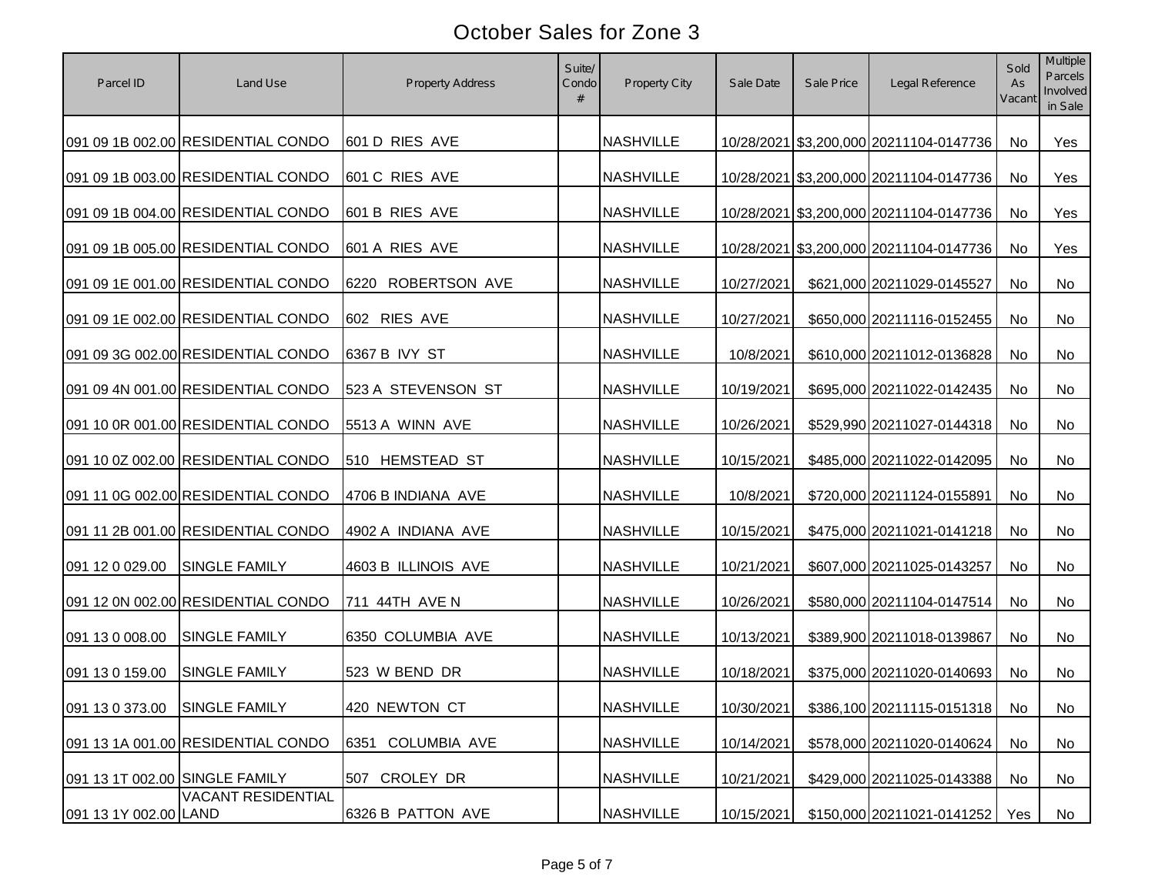| Parcel ID                      | Land Use                           | <b>Property Address</b>     | Suite/<br>Condo<br># | Property City    | Sale Date  | Sale Price | Legal Reference                         | Sold<br>As<br>Vacant | Multiple<br><b>Parcels</b><br>Involved<br>in Sale |
|--------------------------------|------------------------------------|-----------------------------|----------------------|------------------|------------|------------|-----------------------------------------|----------------------|---------------------------------------------------|
|                                | 091 09 1B 002.00 RESIDENTIAL CONDO | 601 D RIES AVE              |                      | <b>NASHVILLE</b> |            |            | 10/28/2021 \$3,200,000 20211104-0147736 | No                   | Yes                                               |
|                                | 091 09 1B 003.00 RESIDENTIAL CONDO | 601 C RIES AVE              |                      | <b>NASHVILLE</b> |            |            | 10/28/2021 \$3,200,000 20211104-0147736 | No                   | Yes                                               |
|                                | 091 09 1B 004.00 RESIDENTIAL CONDO | 601 B RIES AVE              |                      | <b>NASHVILLE</b> |            |            | 10/28/2021 \$3,200,000 20211104-0147736 | No                   | Yes                                               |
|                                | 091 09 1B 005.00 RESIDENTIAL CONDO | 601 A RIES AVE              |                      | <b>NASHVILLE</b> |            |            | 10/28/2021 \$3,200,000 20211104-0147736 | No                   | Yes                                               |
|                                | 091 09 1E 001.00 RESIDENTIAL CONDO | 6220 ROBERTSON AVE          |                      | <b>NASHVILLE</b> | 10/27/2021 |            | \$621,000 20211029-0145527              | No                   | No                                                |
|                                | 091 09 1E 002.00 RESIDENTIAL CONDO | 602 RIES AVE                |                      | <b>NASHVILLE</b> | 10/27/2021 |            | \$650,000 20211116-0152455              | No                   | No                                                |
|                                | 091 09 3G 002.00 RESIDENTIAL CONDO | 6367 B IVY ST               |                      | <b>NASHVILLE</b> | 10/8/2021  |            | \$610,000 20211012-0136828              | No                   | No                                                |
|                                | 091 09 4N 001.00 RESIDENTIAL CONDO | 523 A STEVENSON ST          |                      | <b>NASHVILLE</b> | 10/19/2021 |            | \$695,000 20211022-0142435              | No                   | No                                                |
|                                | 091 10 0R 001.00 RESIDENTIAL CONDO | 5513 A WINN AVE             |                      | <b>NASHVILLE</b> | 10/26/2021 |            | \$529,990 20211027-0144318              | No                   | No                                                |
|                                | 091 10 0Z 002.00 RESIDENTIAL CONDO | 510 HEMSTEAD ST             |                      | <b>NASHVILLE</b> | 10/15/2021 |            | \$485,000 20211022-0142095              | No                   | No                                                |
|                                | 091 11 0G 002.00 RESIDENTIAL CONDO | 4706 B INDIANA AVE          |                      | <b>NASHVILLE</b> | 10/8/2021  |            | \$720,000 20211124-0155891              | No                   | No                                                |
|                                | 091 11 2B 001.00 RESIDENTIAL CONDO | 4902 A INDIANA AVE          |                      | <b>NASHVILLE</b> | 10/15/2021 |            | \$475,000 20211021-0141218              | No                   | No                                                |
| 091 12 0 029.00                | SINGLE FAMILY                      | 4603 B ILLINOIS AVE         |                      | <b>NASHVILLE</b> | 10/21/2021 |            | \$607,000 20211025-0143257              | No                   | No                                                |
|                                | 091 12 0N 002.00 RESIDENTIAL CONDO | 711 44TH AVE N              |                      | <b>NASHVILLE</b> | 10/26/2021 |            | \$580,000 20211104-0147514              | No                   | No                                                |
| 091 13 0 008.00                | SINGLE FAMILY                      | 6350 COLUMBIA AVE           |                      | <b>NASHVILLE</b> | 10/13/2021 |            | \$389,900 20211018-0139867              | <b>No</b>            | No                                                |
| 091 13 0 159.00                | SINGLE FAMILY                      | 523 W BEND DR               |                      | <b>NASHVILLE</b> | 10/18/2021 |            | \$375,000 20211020-0140693              | <b>No</b>            | No                                                |
| 091 13 0 373.00 SINGLE FAMILY  |                                    | 420 NEWTON CT               |                      | <b>NASHVILLE</b> | 10/30/2021 |            | \$386,100 20211115-0151318              | No                   | No                                                |
|                                | 091 13 1A 001.00 RESIDENTIAL CONDO | <b>COLUMBIA AVE</b><br>6351 |                      | <b>NASHVILLE</b> | 10/14/2021 |            | \$578,000 20211020-0140624              | No                   | No                                                |
| 091 13 1T 002.00 SINGLE FAMILY |                                    | 507 CROLEY DR               |                      | <b>NASHVILLE</b> | 10/21/2021 |            | \$429,000 20211025-0143388              | No                   | No                                                |
| 091 13 1Y 002.00 LAND          | <b>VACANT RESIDENTIAL</b>          | 6326 B PATTON AVE           |                      | <b>NASHVILLE</b> | 10/15/2021 |            | \$150,000 20211021-0141252              | Yes                  | No                                                |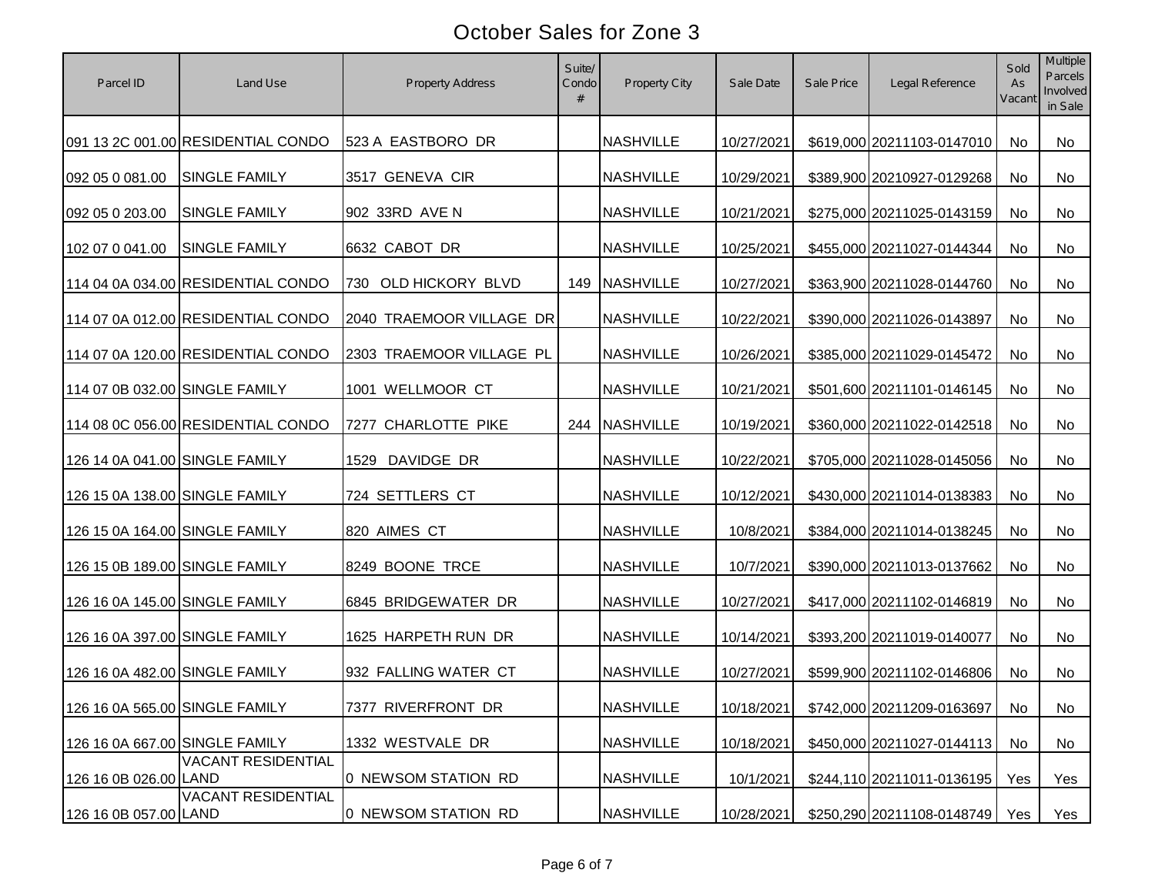| Parcel ID                      | Land Use                           | Property Address         | Suite/<br>Condo<br># | Property City    | Sale Date  | Sale Price | Legal Reference                  | Sold<br>As<br>Vacant | Multiple<br>Parcels<br>Involved<br>in Sale |
|--------------------------------|------------------------------------|--------------------------|----------------------|------------------|------------|------------|----------------------------------|----------------------|--------------------------------------------|
|                                | 091 13 2C 001.00 RESIDENTIAL CONDO | 523 A EASTBORO DR        |                      | <b>NASHVILLE</b> | 10/27/2021 |            | \$619,000 20211103-0147010       | No                   | No                                         |
| 092 05 0 081.00                | <b>SINGLE FAMILY</b>               | 3517 GENEVA CIR          |                      | <b>NASHVILLE</b> | 10/29/2021 |            | \$389,900 20210927-0129268       | No                   | <b>No</b>                                  |
| 092 05 0 203.00                | <b>SINGLE FAMILY</b>               | 902 33RD AVE N           |                      | <b>NASHVILLE</b> | 10/21/2021 |            | \$275,000 20211025-0143159       | No                   | No                                         |
| 102 07 0 041.00                | <b>SINGLE FAMILY</b>               | 6632 CABOT DR            |                      | <b>NASHVILLE</b> | 10/25/2021 |            | \$455,000 20211027-0144344       | No                   | No                                         |
|                                | 114 04 0A 034.00 RESIDENTIAL CONDO | 730 OLD HICKORY BLVD     |                      | 149 NASHVILLE    | 10/27/2021 |            | \$363,900 20211028-0144760       | <b>No</b>            | No                                         |
|                                | 114 07 0A 012.00 RESIDENTIAL CONDO | 2040 TRAEMOOR VILLAGE DR |                      | <b>NASHVILLE</b> | 10/22/2021 |            | \$390,000 20211026-0143897       | No                   | No                                         |
|                                | 114 07 0A 120.00 RESIDENTIAL CONDO | 2303 TRAEMOOR VILLAGE PL |                      | <b>NASHVILLE</b> | 10/26/2021 |            | \$385,000 20211029-0145472       | No                   | No                                         |
| 114 07 0B 032.00 SINGLE FAMILY |                                    | 1001 WELLMOOR CT         |                      | <b>NASHVILLE</b> | 10/21/2021 |            | \$501,600 20211101-0146145       | No                   | No                                         |
|                                | 114 08 0C 056.00 RESIDENTIAL CONDO | 7277 CHARLOTTE PIKE      |                      | 244 NASHVILLE    | 10/19/2021 |            | \$360,000 20211022-0142518       | No                   | No                                         |
| 126 14 0A 041.00 SINGLE FAMILY |                                    | 1529 DAVIDGE DR          |                      | <b>NASHVILLE</b> | 10/22/2021 |            | \$705,000 20211028-0145056       | No                   | No                                         |
| 126 15 0A 138.00 SINGLE FAMILY |                                    | 724 SETTLERS CT          |                      | <b>NASHVILLE</b> | 10/12/2021 |            | \$430,000 20211014-0138383       | No                   | No                                         |
| 126 15 0A 164.00 SINGLE FAMILY |                                    | 820 AIMES CT             |                      | <b>NASHVILLE</b> | 10/8/2021  |            | \$384,000 20211014-0138245       | No                   | No                                         |
| 126 15 0B 189.00 SINGLE FAMILY |                                    | 8249 BOONE TRCE          |                      | <b>NASHVILLE</b> | 10/7/2021  |            | \$390,000 20211013-0137662       | No                   | No                                         |
| 126 16 0A 145.00 SINGLE FAMILY |                                    | 6845 BRIDGEWATER DR      |                      | <b>NASHVILLE</b> | 10/27/2021 |            | \$417,000 20211102-0146819       | No                   | No                                         |
| 126 16 0A 397.00 SINGLE FAMILY |                                    | 1625 HARPETH RUN DR      |                      | <b>NASHVILLE</b> | 10/14/2021 |            | \$393,200 20211019-0140077       | No                   | No                                         |
| 126 16 0A 482.00 SINGLE FAMILY |                                    | 932 FALLING WATER CT     |                      | <b>NASHVILLE</b> | 10/27/2021 |            | \$599,900 20211102-0146806       | No                   | No                                         |
|                                | 126 16 0A 565.00 SINGLE FAMILY     | 7377 RIVERFRONT DR       |                      | <b>NASHVILLE</b> | 10/18/2021 |            | \$742,000 20211209-0163697 No    |                      | No                                         |
| 126 16 0A 667.00 SINGLE FAMILY |                                    | 1332 WESTVALE DR         |                      | <b>NASHVILLE</b> | 10/18/2021 |            | \$450,000 20211027-0144113       | No                   | No                                         |
| 126 16 0B 026.00 LAND          | <b>VACANT RESIDENTIAL</b>          | 0 NEWSOM STATION RD      |                      | <b>NASHVILLE</b> | 10/1/2021  |            | \$244,110 20211011-0136195       | Yes                  | Yes                                        |
| 126 16 0B 057.00 LAND          | <b>VACANT RESIDENTIAL</b>          | 0 NEWSOM STATION RD      |                      | <b>NASHVILLE</b> | 10/28/2021 |            | \$250,290 20211108-0148749   Yes |                      | Yes                                        |